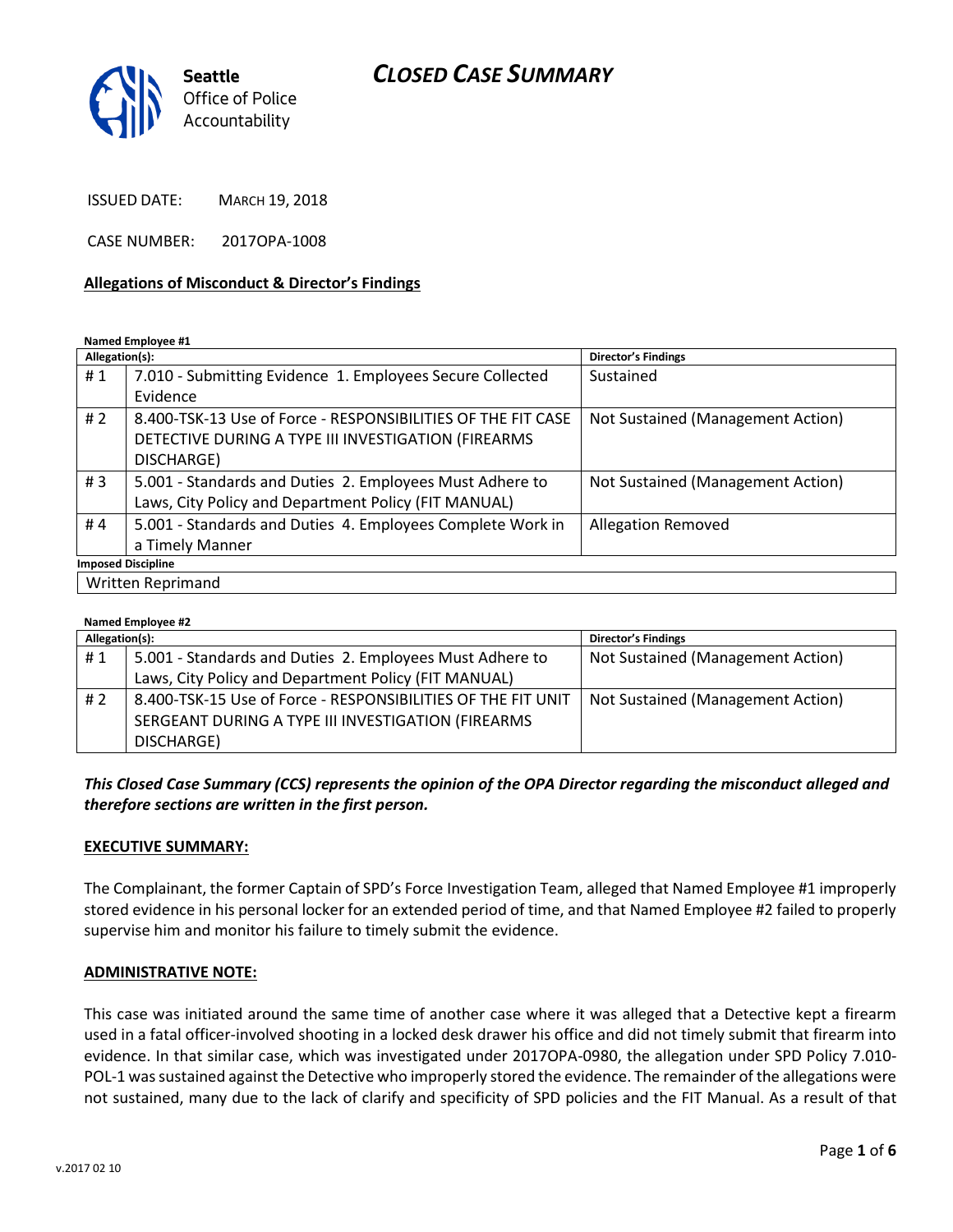## *CLOSED CASE SUMMARY*



ISSUED DATE: MARCH 19, 2018

CASE NUMBER: 2017OPA-1008

### **Allegations of Misconduct & Director's Findings**

**Named Employee #1**

| Allegation(s):            |                                                              | <b>Director's Findings</b>        |  |
|---------------------------|--------------------------------------------------------------|-----------------------------------|--|
| #1                        | 7.010 - Submitting Evidence 1. Employees Secure Collected    | Sustained                         |  |
|                           | Evidence                                                     |                                   |  |
| #2                        | 8.400-TSK-13 Use of Force - RESPONSIBILITIES OF THE FIT CASE | Not Sustained (Management Action) |  |
|                           | DETECTIVE DURING A TYPE III INVESTIGATION (FIREARMS          |                                   |  |
|                           | DISCHARGE)                                                   |                                   |  |
| #3                        | 5.001 - Standards and Duties 2. Employees Must Adhere to     | Not Sustained (Management Action) |  |
|                           | Laws, City Policy and Department Policy (FIT MANUAL)         |                                   |  |
| #4                        | 5.001 - Standards and Duties 4. Employees Complete Work in   | <b>Allegation Removed</b>         |  |
|                           | a Timely Manner                                              |                                   |  |
| <b>Imposed Discipline</b> |                                                              |                                   |  |
| <b>Written Reprimand</b>  |                                                              |                                   |  |

#### **Named Employee #2**

| Allegation(s): |                                                              | <b>Director's Findings</b>        |
|----------------|--------------------------------------------------------------|-----------------------------------|
| #1             | 5.001 - Standards and Duties 2. Employees Must Adhere to     | Not Sustained (Management Action) |
|                | Laws, City Policy and Department Policy (FIT MANUAL)         |                                   |
| #2             | 8.400-TSK-15 Use of Force - RESPONSIBILITIES OF THE FIT UNIT | Not Sustained (Management Action) |
|                | SERGEANT DURING A TYPE III INVESTIGATION (FIREARMS           |                                   |
|                | DISCHARGE)                                                   |                                   |

### *This Closed Case Summary (CCS) represents the opinion of the OPA Director regarding the misconduct alleged and therefore sections are written in the first person.*

#### **EXECUTIVE SUMMARY:**

The Complainant, the former Captain of SPD's Force Investigation Team, alleged that Named Employee #1 improperly stored evidence in his personal locker for an extended period of time, and that Named Employee #2 failed to properly supervise him and monitor his failure to timely submit the evidence.

#### **ADMINISTRATIVE NOTE:**

This case was initiated around the same time of another case where it was alleged that a Detective kept a firearm used in a fatal officer-involved shooting in a locked desk drawer his office and did not timely submit that firearm into evidence. In that similar case, which was investigated under 2017OPA-0980, the allegation under SPD Policy 7.010- POL-1 was sustained against the Detective who improperly stored the evidence. The remainder of the allegations were not sustained, many due to the lack of clarify and specificity of SPD policies and the FIT Manual. As a result of that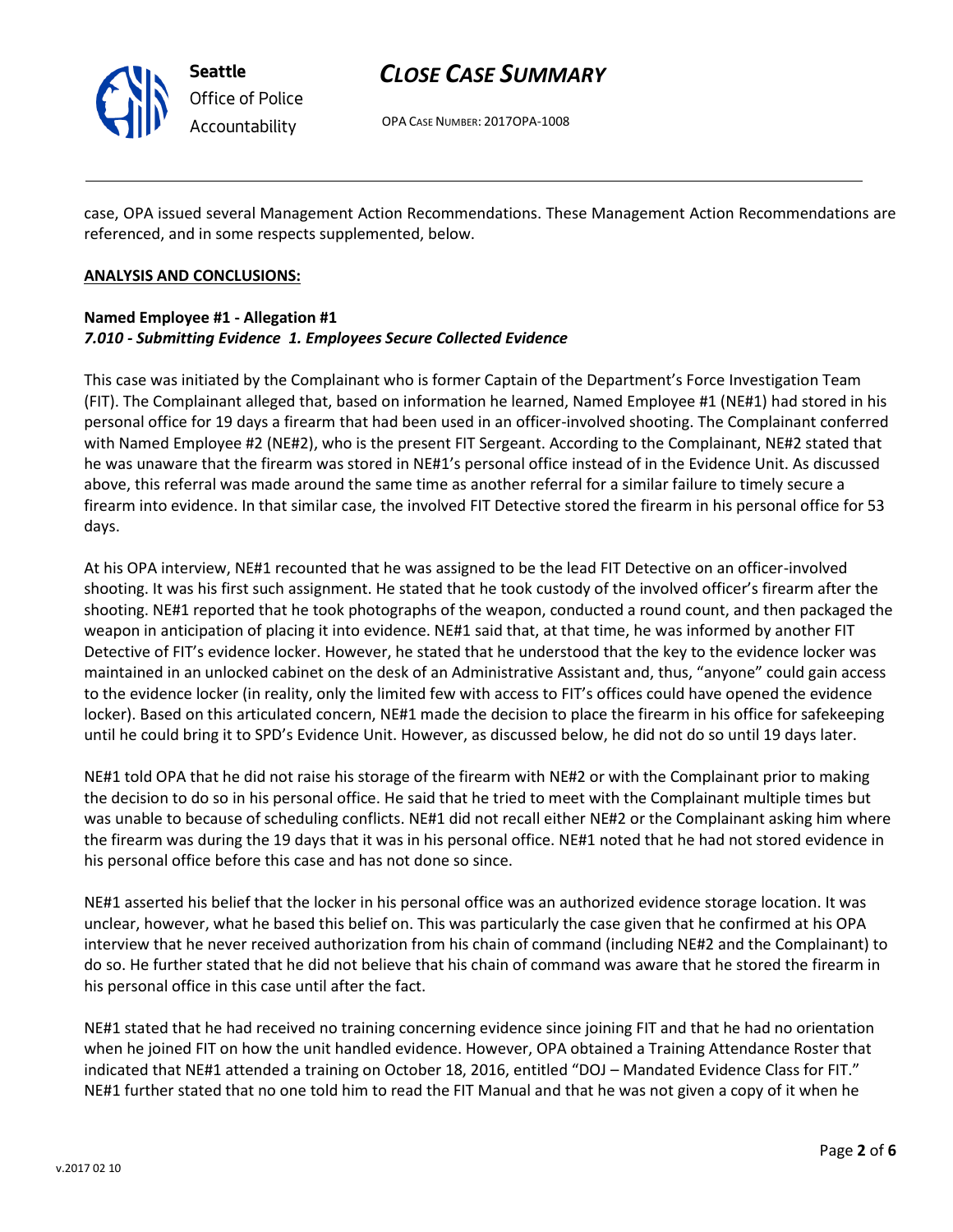

# *CLOSE CASE SUMMARY*

OPA CASE NUMBER: 2017OPA-1008

case, OPA issued several Management Action Recommendations. These Management Action Recommendations are referenced, and in some respects supplemented, below.

### **ANALYSIS AND CONCLUSIONS:**

### **Named Employee #1 - Allegation #1** *7.010 - Submitting Evidence 1. Employees Secure Collected Evidence*

This case was initiated by the Complainant who is former Captain of the Department's Force Investigation Team (FIT). The Complainant alleged that, based on information he learned, Named Employee #1 (NE#1) had stored in his personal office for 19 days a firearm that had been used in an officer-involved shooting. The Complainant conferred with Named Employee #2 (NE#2), who is the present FIT Sergeant. According to the Complainant, NE#2 stated that he was unaware that the firearm was stored in NE#1's personal office instead of in the Evidence Unit. As discussed above, this referral was made around the same time as another referral for a similar failure to timely secure a firearm into evidence. In that similar case, the involved FIT Detective stored the firearm in his personal office for 53 days.

At his OPA interview, NE#1 recounted that he was assigned to be the lead FIT Detective on an officer-involved shooting. It was his first such assignment. He stated that he took custody of the involved officer's firearm after the shooting. NE#1 reported that he took photographs of the weapon, conducted a round count, and then packaged the weapon in anticipation of placing it into evidence. NE#1 said that, at that time, he was informed by another FIT Detective of FIT's evidence locker. However, he stated that he understood that the key to the evidence locker was maintained in an unlocked cabinet on the desk of an Administrative Assistant and, thus, "anyone" could gain access to the evidence locker (in reality, only the limited few with access to FIT's offices could have opened the evidence locker). Based on this articulated concern, NE#1 made the decision to place the firearm in his office for safekeeping until he could bring it to SPD's Evidence Unit. However, as discussed below, he did not do so until 19 days later.

NE#1 told OPA that he did not raise his storage of the firearm with NE#2 or with the Complainant prior to making the decision to do so in his personal office. He said that he tried to meet with the Complainant multiple times but was unable to because of scheduling conflicts. NE#1 did not recall either NE#2 or the Complainant asking him where the firearm was during the 19 days that it was in his personal office. NE#1 noted that he had not stored evidence in his personal office before this case and has not done so since.

NE#1 asserted his belief that the locker in his personal office was an authorized evidence storage location. It was unclear, however, what he based this belief on. This was particularly the case given that he confirmed at his OPA interview that he never received authorization from his chain of command (including NE#2 and the Complainant) to do so. He further stated that he did not believe that his chain of command was aware that he stored the firearm in his personal office in this case until after the fact.

NE#1 stated that he had received no training concerning evidence since joining FIT and that he had no orientation when he joined FIT on how the unit handled evidence. However, OPA obtained a Training Attendance Roster that indicated that NE#1 attended a training on October 18, 2016, entitled "DOJ – Mandated Evidence Class for FIT." NE#1 further stated that no one told him to read the FIT Manual and that he was not given a copy of it when he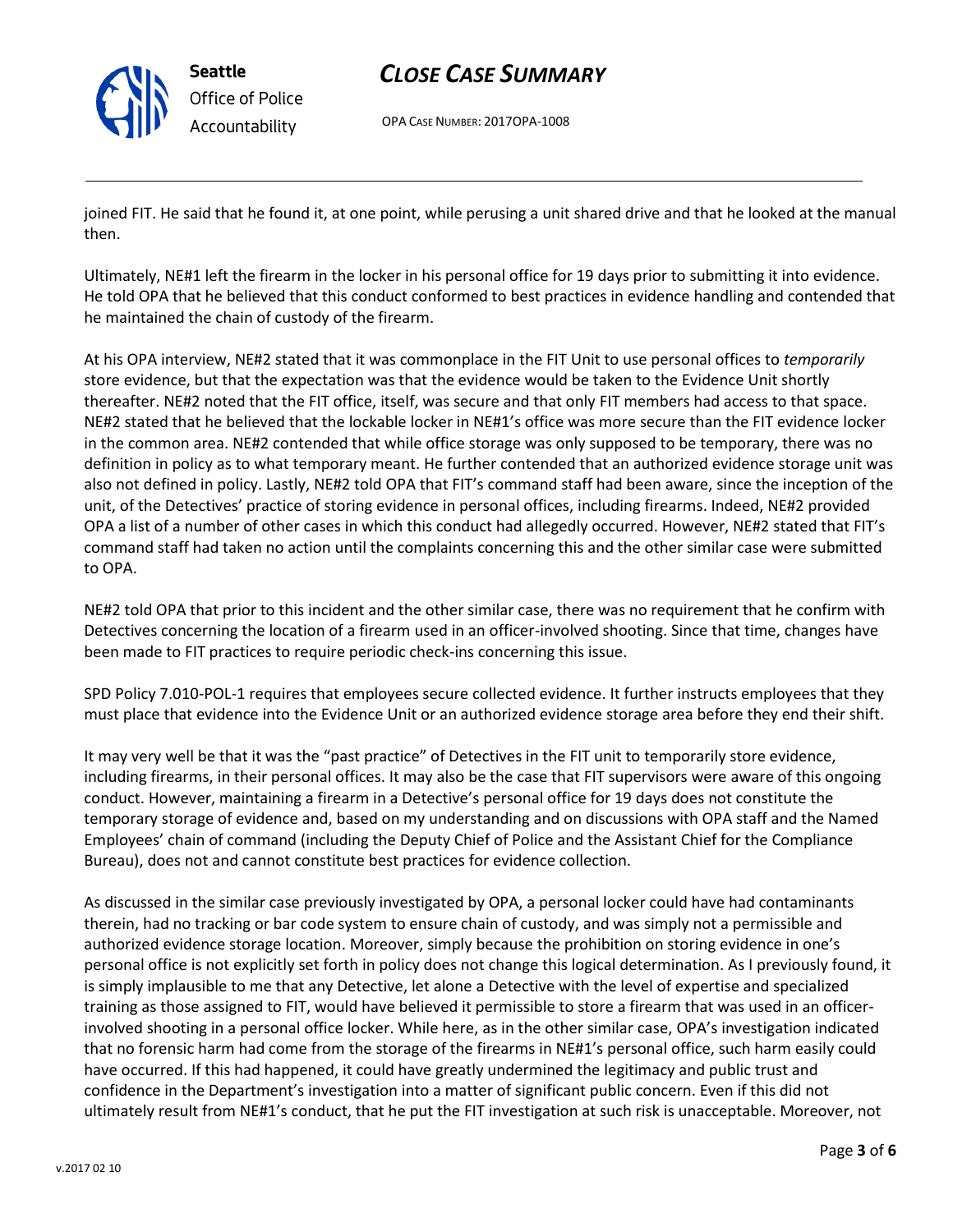

**Seattle** *Office of Police Accountability*

# *CLOSE CASE SUMMARY*

OPA CASE NUMBER: 2017OPA-1008

joined FIT. He said that he found it, at one point, while perusing a unit shared drive and that he looked at the manual then.

Ultimately, NE#1 left the firearm in the locker in his personal office for 19 days prior to submitting it into evidence. He told OPA that he believed that this conduct conformed to best practices in evidence handling and contended that he maintained the chain of custody of the firearm.

At his OPA interview, NE#2 stated that it was commonplace in the FIT Unit to use personal offices to *temporarily* store evidence, but that the expectation was that the evidence would be taken to the Evidence Unit shortly thereafter. NE#2 noted that the FIT office, itself, was secure and that only FIT members had access to that space. NE#2 stated that he believed that the lockable locker in NE#1's office was more secure than the FIT evidence locker in the common area. NE#2 contended that while office storage was only supposed to be temporary, there was no definition in policy as to what temporary meant. He further contended that an authorized evidence storage unit was also not defined in policy. Lastly, NE#2 told OPA that FIT's command staff had been aware, since the inception of the unit, of the Detectives' practice of storing evidence in personal offices, including firearms. Indeed, NE#2 provided OPA a list of a number of other cases in which this conduct had allegedly occurred. However, NE#2 stated that FIT's command staff had taken no action until the complaints concerning this and the other similar case were submitted to OPA.

NE#2 told OPA that prior to this incident and the other similar case, there was no requirement that he confirm with Detectives concerning the location of a firearm used in an officer-involved shooting. Since that time, changes have been made to FIT practices to require periodic check-ins concerning this issue.

SPD Policy 7.010-POL-1 requires that employees secure collected evidence. It further instructs employees that they must place that evidence into the Evidence Unit or an authorized evidence storage area before they end their shift.

It may very well be that it was the "past practice" of Detectives in the FIT unit to temporarily store evidence, including firearms, in their personal offices. It may also be the case that FIT supervisors were aware of this ongoing conduct. However, maintaining a firearm in a Detective's personal office for 19 days does not constitute the temporary storage of evidence and, based on my understanding and on discussions with OPA staff and the Named Employees' chain of command (including the Deputy Chief of Police and the Assistant Chief for the Compliance Bureau), does not and cannot constitute best practices for evidence collection.

As discussed in the similar case previously investigated by OPA, a personal locker could have had contaminants therein, had no tracking or bar code system to ensure chain of custody, and was simply not a permissible and authorized evidence storage location. Moreover, simply because the prohibition on storing evidence in one's personal office is not explicitly set forth in policy does not change this logical determination. As I previously found, it is simply implausible to me that any Detective, let alone a Detective with the level of expertise and specialized training as those assigned to FIT, would have believed it permissible to store a firearm that was used in an officerinvolved shooting in a personal office locker. While here, as in the other similar case, OPA's investigation indicated that no forensic harm had come from the storage of the firearms in NE#1's personal office, such harm easily could have occurred. If this had happened, it could have greatly undermined the legitimacy and public trust and confidence in the Department's investigation into a matter of significant public concern. Even if this did not ultimately result from NE#1's conduct, that he put the FIT investigation at such risk is unacceptable. Moreover, not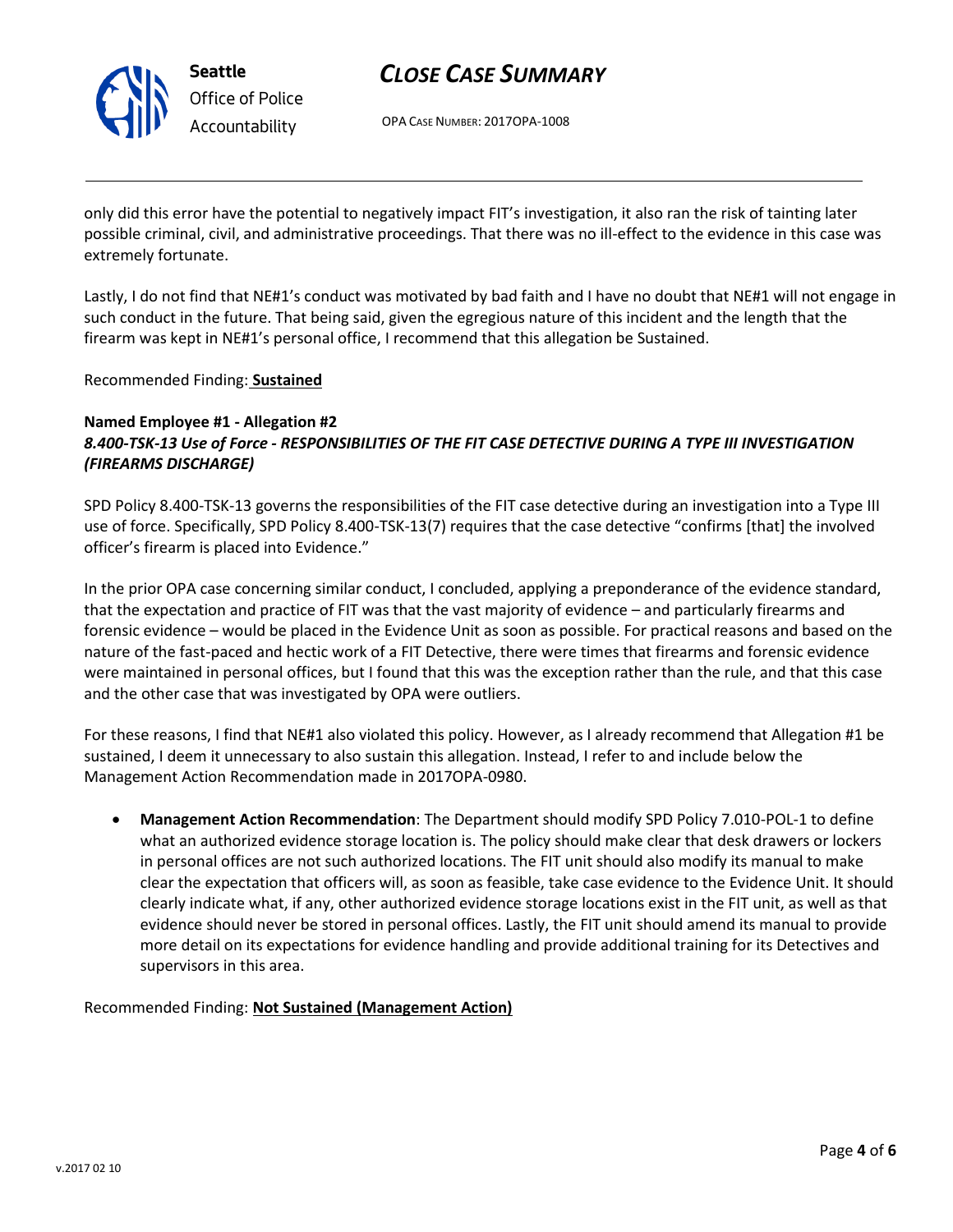

# *CLOSE CASE SUMMARY*

OPA CASE NUMBER: 2017OPA-1008

only did this error have the potential to negatively impact FIT's investigation, it also ran the risk of tainting later possible criminal, civil, and administrative proceedings. That there was no ill-effect to the evidence in this case was extremely fortunate.

Lastly, I do not find that NE#1's conduct was motivated by bad faith and I have no doubt that NE#1 will not engage in such conduct in the future. That being said, given the egregious nature of this incident and the length that the firearm was kept in NE#1's personal office, I recommend that this allegation be Sustained.

Recommended Finding: **Sustained**

### **Named Employee #1 - Allegation #2** *8.400-TSK-13 Use of Force - RESPONSIBILITIES OF THE FIT CASE DETECTIVE DURING A TYPE III INVESTIGATION (FIREARMS DISCHARGE)*

SPD Policy 8.400-TSK-13 governs the responsibilities of the FIT case detective during an investigation into a Type III use of force. Specifically, SPD Policy 8.400-TSK-13(7) requires that the case detective "confirms [that] the involved officer's firearm is placed into Evidence."

In the prior OPA case concerning similar conduct, I concluded, applying a preponderance of the evidence standard, that the expectation and practice of FIT was that the vast majority of evidence – and particularly firearms and forensic evidence – would be placed in the Evidence Unit as soon as possible. For practical reasons and based on the nature of the fast-paced and hectic work of a FIT Detective, there were times that firearms and forensic evidence were maintained in personal offices, but I found that this was the exception rather than the rule, and that this case and the other case that was investigated by OPA were outliers.

For these reasons, I find that NE#1 also violated this policy. However, as I already recommend that Allegation #1 be sustained, I deem it unnecessary to also sustain this allegation. Instead, I refer to and include below the Management Action Recommendation made in 2017OPA-0980.

 **Management Action Recommendation**: The Department should modify SPD Policy 7.010-POL-1 to define what an authorized evidence storage location is. The policy should make clear that desk drawers or lockers in personal offices are not such authorized locations. The FIT unit should also modify its manual to make clear the expectation that officers will, as soon as feasible, take case evidence to the Evidence Unit. It should clearly indicate what, if any, other authorized evidence storage locations exist in the FIT unit, as well as that evidence should never be stored in personal offices. Lastly, the FIT unit should amend its manual to provide more detail on its expectations for evidence handling and provide additional training for its Detectives and supervisors in this area.

Recommended Finding: **Not Sustained (Management Action)**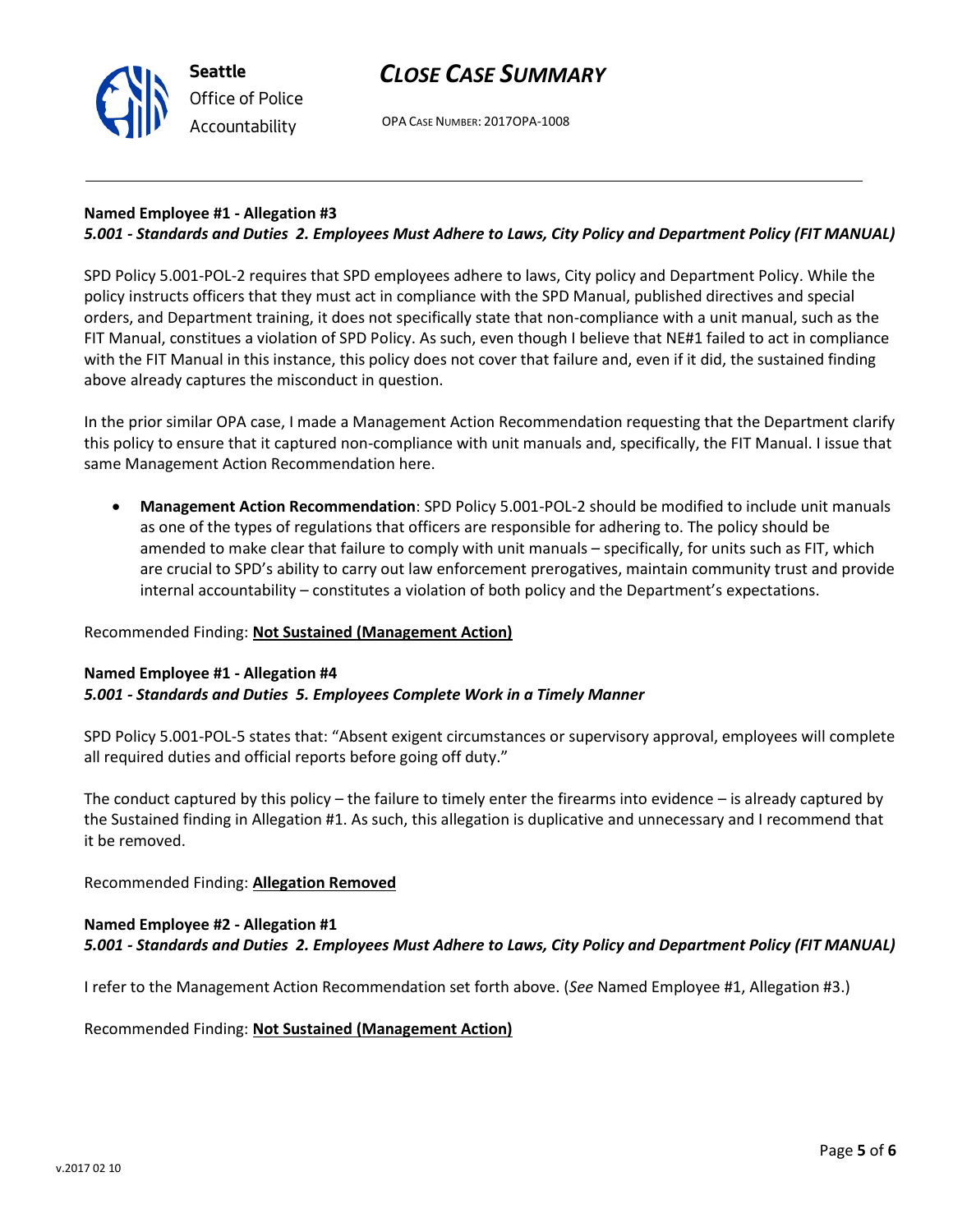

**Seattle** *Office of Police Accountability*

OPA CASE NUMBER: 2017OPA-1008

## **Named Employee #1 - Allegation #3**

## *5.001 - Standards and Duties 2. Employees Must Adhere to Laws, City Policy and Department Policy (FIT MANUAL)*

SPD Policy 5.001-POL-2 requires that SPD employees adhere to laws, City policy and Department Policy. While the policy instructs officers that they must act in compliance with the SPD Manual, published directives and special orders, and Department training, it does not specifically state that non-compliance with a unit manual, such as the FIT Manual, constitues a violation of SPD Policy. As such, even though I believe that NE#1 failed to act in compliance with the FIT Manual in this instance, this policy does not cover that failure and, even if it did, the sustained finding above already captures the misconduct in question.

In the prior similar OPA case, I made a Management Action Recommendation requesting that the Department clarify this policy to ensure that it captured non-compliance with unit manuals and, specifically, the FIT Manual. I issue that same Management Action Recommendation here.

 **Management Action Recommendation**: SPD Policy 5.001-POL-2 should be modified to include unit manuals as one of the types of regulations that officers are responsible for adhering to. The policy should be amended to make clear that failure to comply with unit manuals – specifically, for units such as FIT, which are crucial to SPD's ability to carry out law enforcement prerogatives, maintain community trust and provide internal accountability – constitutes a violation of both policy and the Department's expectations.

### Recommended Finding: **Not Sustained (Management Action)**

#### **Named Employee #1 - Allegation #4** *5.001 - Standards and Duties 5. Employees Complete Work in a Timely Manner*

SPD Policy 5.001-POL-5 states that: "Absent exigent circumstances or supervisory approval, employees will complete all required duties and official reports before going off duty."

The conduct captured by this policy – the failure to timely enter the firearms into evidence – is already captured by the Sustained finding in Allegation #1. As such, this allegation is duplicative and unnecessary and I recommend that it be removed.

Recommended Finding: **Allegation Removed**

### **Named Employee #2 - Allegation #1**

*5.001 - Standards and Duties 2. Employees Must Adhere to Laws, City Policy and Department Policy (FIT MANUAL)*

I refer to the Management Action Recommendation set forth above. (*See* Named Employee #1, Allegation #3.)

Recommended Finding: **Not Sustained (Management Action)**